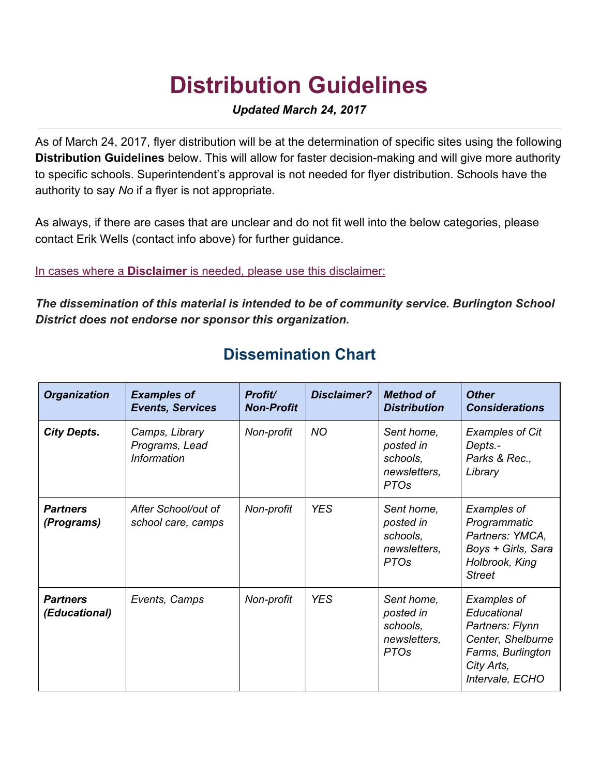## **Distribution Guidelines**

## *Updated March 24, 2017*

As of March 24, 2017, flyer distribution will be at the determination of specific sites using the following **Distribution Guidelines** below. This will allow for faster decision-making and will give more authority to specific schools. Superintendent's approval is not needed for flyer distribution. Schools have the authority to say *No* if a flyer is not appropriate.

As always, if there are cases that are unclear and do not fit well into the below categories, please contact Erik Wells (contact info above) for further guidance.

In cases where a **Disclaimer** is needed, please use this disclaimer:

*The dissemination of this material is intended to be of community service. Burlington School District does not endorse nor sponsor this organization.*

| <b>Organization</b>              | <b>Examples of</b><br><b>Events, Services</b>          | Profit/<br><b>Non-Profit</b> | <b>Disclaimer?</b> | <b>Method of</b><br><b>Distribution</b>                            | <b>Other</b><br><b>Considerations</b>                                                                                           |
|----------------------------------|--------------------------------------------------------|------------------------------|--------------------|--------------------------------------------------------------------|---------------------------------------------------------------------------------------------------------------------------------|
| <b>City Depts.</b>               | Camps, Library<br>Programs, Lead<br><b>Information</b> | Non-profit                   | <b>NO</b>          | Sent home,<br>posted in<br>schools,<br>newsletters,<br><b>PTOs</b> | <b>Examples of Cit</b><br>Depts.-<br>Parks & Rec.,<br>Library                                                                   |
| <b>Partners</b><br>(Programs)    | After School/out of<br>school care, camps              | Non-profit                   | <b>YES</b>         | Sent home,<br>posted in<br>schools,<br>newsletters,<br><b>PTOs</b> | Examples of<br>Programmatic<br>Partners: YMCA,<br>Boys + Girls, Sara<br>Holbrook, King<br><b>Street</b>                         |
| <b>Partners</b><br>(Educational) | Events, Camps                                          | Non-profit                   | <b>YES</b>         | Sent home,<br>posted in<br>schools,<br>newsletters,<br><b>PTOs</b> | <b>Examples of</b><br>Educational<br>Partners: Flynn<br>Center, Shelburne<br>Farms, Burlington<br>City Arts,<br>Intervale, ECHO |

## **Dissemination Chart**